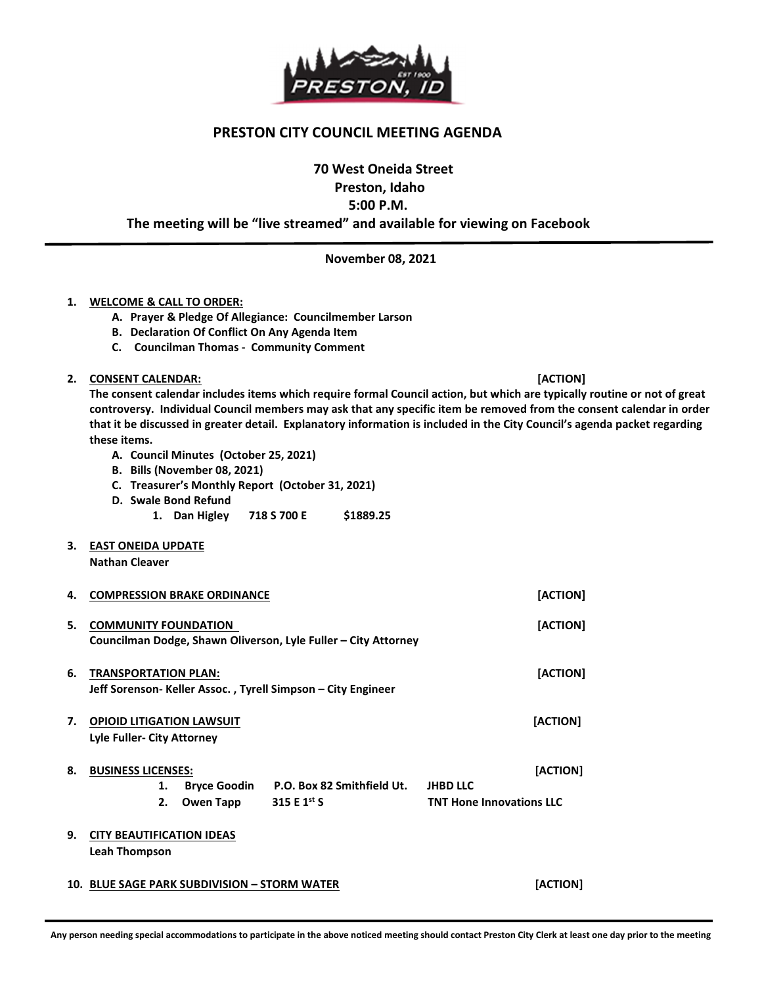

## PRESTON CITY COUNCIL MEETING AGENDA

70 West Oneida Street

Preston, Idaho

5:00 P.M.

The meeting will be "live streamed" and available for viewing on Facebook

November 08, 2021

## 1. WELCOME & CALL TO ORDER:

- A. Prayer & Pledge Of Allegiance: Councilmember Larson
- B. Declaration Of Conflict On Any Agenda Item
- C. Councilman Thomas Community Comment

## 2. CONSENT CALENDAR: **[ACTION] Example 2.** CONSENT CALENDAR:

The consent calendar includes items which require formal Council action, but which are typically routine or not of great controversy. Individual Council members may ask that any specific item be removed from the consent calendar in order that it be discussed in greater detail. Explanatory information is included in the City Council's agenda packet regarding these items.

- A. Council Minutes (October 25, 2021)
- B. Bills (November 08, 2021)
- C. Treasurer's Monthly Report (October 31, 2021)
- D. Swale Bond Refund
	- 1. Dan Higley 718 S 700 E \$1889.25
- 3. EAST ONEIDA UPDATE

Nathan Cleaver

1

| 4. | <b>COMPRESSION BRAKE ORDINANCE</b>                                                            |              |                                                              |                                 | [ACTION] |
|----|-----------------------------------------------------------------------------------------------|--------------|--------------------------------------------------------------|---------------------------------|----------|
| 5. | <b>COMMUNITY FOUNDATION</b><br>Councilman Dodge, Shawn Oliverson, Lyle Fuller – City Attorney |              |                                                              |                                 | [ACTION] |
| 6. | <b>TRANSPORTATION PLAN:</b>                                                                   |              | Jeff Sorenson- Keller Assoc., Tyrell Simpson – City Engineer |                                 | [ACTION] |
| 7. | <b>OPIOID LITIGATION LAWSUIT</b><br>Lyle Fuller- City Attorney                                |              |                                                              |                                 | [ACTION] |
| 8. | <b>BUSINESS LICENSES:</b>                                                                     |              |                                                              |                                 | [ACTION] |
|    | 1.                                                                                            | Bryce Goodin | P.O. Box 82 Smithfield Ut.                                   | <b>JHBD LLC</b>                 |          |
|    | 2.                                                                                            | Owen Tapp    | 315 E $1^{st}$ S                                             | <b>TNT Hone Innovations LLC</b> |          |
| 9. | <b>CITY BEAUTIFICATION IDEAS</b><br><b>Leah Thompson</b>                                      |              |                                                              |                                 |          |
|    | 10. BLUE SAGE PARK SUBDIVISION - STORM WATER                                                  |              |                                                              | [ACTION]                        |          |

#### Any person needing special accommodations to participate in the above noticed meeting should contact Preston City Clerk at least one day prior to the meeting